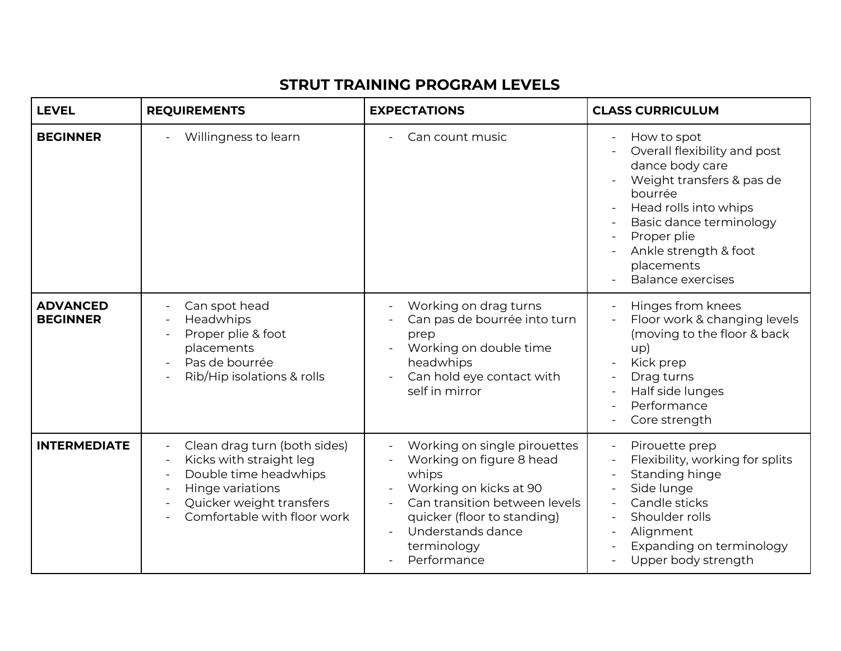## **STRUT TRAINING PROGRAM LEVELS**

| <b>LEVEL</b>                       | <b>REQUIREMENTS</b>                                                                                                                                                                                           | <b>EXPECTATIONS</b>                                                                                                                                                                                                                        | <b>CLASS CURRICULUM</b>                                                                                                                                                                                                                      |
|------------------------------------|---------------------------------------------------------------------------------------------------------------------------------------------------------------------------------------------------------------|--------------------------------------------------------------------------------------------------------------------------------------------------------------------------------------------------------------------------------------------|----------------------------------------------------------------------------------------------------------------------------------------------------------------------------------------------------------------------------------------------|
| <b>BEGINNER</b>                    | Willingness to learn                                                                                                                                                                                          | Can count music                                                                                                                                                                                                                            | How to spot<br>Overall flexibility and post<br>dance body care<br>Weight transfers & pas de<br>bourrée<br>Head rolls into whips<br>Basic dance terminology<br>Proper plie<br>Ankle strength & foot<br>placements<br><b>Balance exercises</b> |
| <b>ADVANCED</b><br><b>BEGINNER</b> | Can spot head<br>Headwhips<br>Proper plie & foot<br>placements<br>Pas de bourrée<br>Rib/Hip isolations & rolls                                                                                                | Working on drag turns<br>Can pas de bourrée into turn<br>prep<br>Working on double time<br>$\overline{\phantom{a}}$<br>headwhips<br>Can hold eye contact with<br>self in mirror                                                            | Hinges from knees<br>Floor work & changing levels<br>(moving to the floor & back<br>up)<br>Kick prep<br>Drag turns<br>Half side lunges<br>Performance<br>Core strength                                                                       |
| <b>INTERMEDIATE</b>                | Clean drag turn (both sides)<br>$\blacksquare$<br>Kicks with straight leg<br>$\overline{\phantom{a}}$<br>Double time headwhips<br>Hinge variations<br>Quicker weight transfers<br>Comfortable with floor work | Working on single pirouettes<br>Working on figure 8 head<br>whips<br>Working on kicks at 90<br>$\overline{\phantom{a}}$<br>Can transition between levels<br>quicker (floor to standing)<br>Understands dance<br>terminology<br>Performance | Pirouette prep<br>Flexibility, working for splits<br>Standing hinge<br>Side lunge<br>Candle sticks<br>Shoulder rolls<br>Alignment<br>Expanding on terminology<br>Upper body strength                                                         |